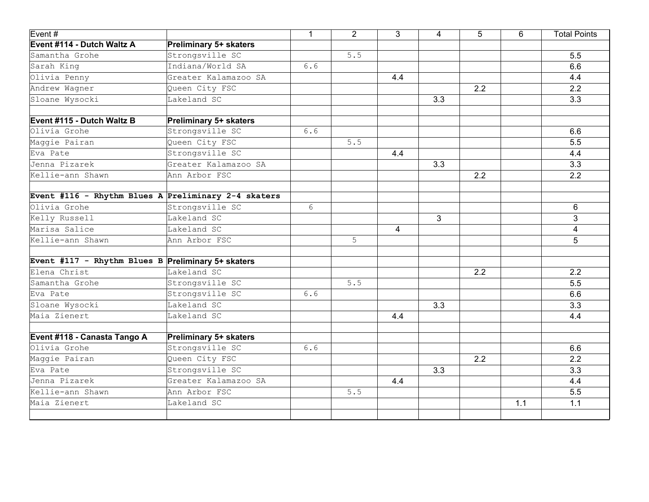| Event#                                             |                                                     | $\mathbf{1}$    | $\overline{2}$ | 3   | 4            | 5   | 6   | <b>Total Points</b> |
|----------------------------------------------------|-----------------------------------------------------|-----------------|----------------|-----|--------------|-----|-----|---------------------|
| Event #114 - Dutch Waltz A                         | Preliminary 5+ skaters                              |                 |                |     |              |     |     |                     |
| Samantha Grohe                                     | Strongsville SC                                     |                 | 5.5            |     |              |     |     | 5.5                 |
| Sarah King                                         | Indiana/World SA                                    | 6.6             |                |     |              |     |     | 6.6                 |
| Olivia Penny                                       | Greater Kalamazoo SA                                |                 |                | 4.4 |              |     |     | 4.4                 |
| Andrew Wagner                                      | Queen City FSC                                      |                 |                |     |              | 2.2 |     | 2.2                 |
| Sloane Wysocki                                     | Lakeland SC                                         |                 |                |     | 3.3          |     |     | 3.3                 |
| Event #115 - Dutch Waltz B                         | <b>Preliminary 5+ skaters</b>                       |                 |                |     |              |     |     |                     |
| Olivia Grohe                                       | Strongsville SC                                     | 6.6             |                |     |              |     |     | 6.6                 |
| Maggie Pairan                                      | Queen City FSC                                      |                 | 5.5            |     |              |     |     | 5.5                 |
| Eva Pate                                           | Strongsville SC                                     |                 |                | 4.4 |              |     |     | 4.4                 |
| Jenna Pizarek                                      | Greater Kalamazoo SA                                |                 |                |     | 3.3          |     |     | 3.3                 |
| Kellie-ann Shawn                                   | Ann Arbor FSC                                       |                 |                |     |              | 2.2 |     | 2.2                 |
|                                                    | Event #116 - Rhythm Blues A Preliminary 2-4 skaters |                 |                |     |              |     |     |                     |
| Olivia Grohe                                       | Strongsville SC                                     | $6\phantom{.}6$ |                |     |              |     |     | 6                   |
| Kelly Russell                                      | Lakeland SC                                         |                 |                |     | $\mathbf{3}$ |     |     | 3                   |
| Marisa Salice                                      | Lakeland SC                                         |                 |                | 4   |              |     |     | 4                   |
| Kellie-ann Shawn                                   | Ann Arbor FSC                                       |                 | 5              |     |              |     |     | 5                   |
| Event #117 - Rhythm Blues B Preliminary 5+ skaters |                                                     |                 |                |     |              |     |     |                     |
| Elena Christ                                       | Lakeland SC                                         |                 |                |     |              | 2.2 |     | 2.2                 |
| Samantha Grohe                                     | Strongsville SC                                     |                 | $5.5$          |     |              |     |     | 5.5                 |
| Eva Pate                                           | Strongsville SC                                     | 6.6             |                |     |              |     |     | 6.6                 |
| Sloane Wysocki                                     | Lakeland SC                                         |                 |                |     | 3.3          |     |     | 3.3                 |
| Maia Zienert                                       | Lakeland SC                                         |                 |                | 4.4 |              |     |     | 4.4                 |
| Event #118 - Canasta Tango A                       | <b>Preliminary 5+ skaters</b>                       |                 |                |     |              |     |     |                     |
| Olivia Grohe                                       | Strongsville SC                                     | 6.6             |                |     |              |     |     | 6.6                 |
| Maggie Pairan                                      | Queen City FSC                                      |                 |                |     |              | 2.2 |     | 2.2                 |
| Eva Pate                                           | Strongsville SC                                     |                 |                |     | 3.3          |     |     | 3.3                 |
| Jenna Pizarek                                      | Greater Kalamazoo SA                                |                 |                | 4.4 |              |     |     | 4.4                 |
| Kellie-ann Shawn                                   | Ann Arbor FSC                                       |                 | 5.5            |     |              |     |     | 5.5                 |
| Maia Zienert                                       | Lakeland SC                                         |                 |                |     |              |     | 1.1 | 1.1                 |
|                                                    |                                                     |                 |                |     |              |     |     |                     |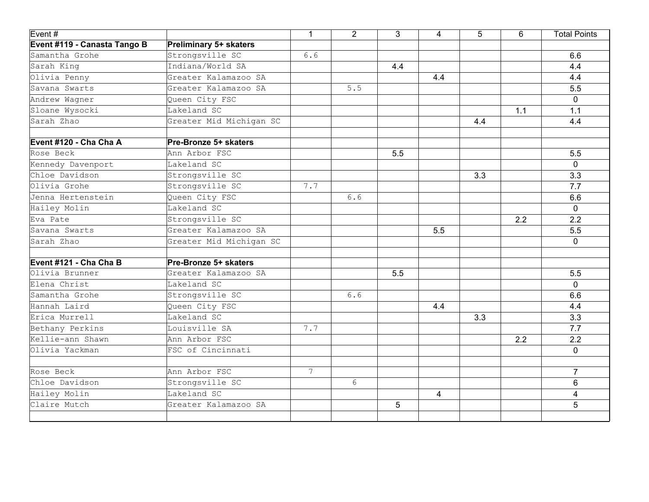| Event#                       |                               | $\mathbf{1}$    | $\overline{2}$ | 3   | 4              | 5   | 6   | <b>Total Points</b> |
|------------------------------|-------------------------------|-----------------|----------------|-----|----------------|-----|-----|---------------------|
| Event #119 - Canasta Tango B | <b>Preliminary 5+ skaters</b> |                 |                |     |                |     |     |                     |
| Samantha Grohe               | Strongsville SC               | 6.6             |                |     |                |     |     | 6.6                 |
| Sarah King                   | Indiana/World SA              |                 |                | 4.4 |                |     |     | 4.4                 |
| Olivia Penny                 | Greater Kalamazoo SA          |                 |                |     | 4.4            |     |     | 4.4                 |
| Savana Swarts                | Greater Kalamazoo SA          |                 | 5.5            |     |                |     |     | 5.5                 |
| Andrew Wagner                | Queen City FSC                |                 |                |     |                |     |     | $\mathbf 0$         |
| Sloane Wysocki               | Lakeland SC                   |                 |                |     |                |     | 1.1 | 1.1                 |
| Sarah Zhao                   | Greater Mid Michigan SC       |                 |                |     |                | 4.4 |     | 4.4                 |
| Event #120 - Cha Cha A       | Pre-Bronze 5+ skaters         |                 |                |     |                |     |     |                     |
| Rose Beck                    | Ann Arbor FSC                 |                 |                | 5.5 |                |     |     | 5.5                 |
| Kennedy Davenport            | Lakeland SC                   |                 |                |     |                |     |     | $\mathbf 0$         |
| Chloe Davidson               | Strongsville SC               |                 |                |     |                | 3.3 |     | 3.3                 |
| Olivia Grohe                 | Strongsville SC               | 7.7             |                |     |                |     |     | 7.7                 |
| Jenna Hertenstein            | Queen City FSC                |                 | 6.6            |     |                |     |     | 6.6                 |
| Hailey Molin                 | Lakeland SC                   |                 |                |     |                |     |     | $\mathbf 0$         |
| Eva Pate                     | Strongsville SC               |                 |                |     |                |     | 2.2 | 2.2                 |
| Savana Swarts                | Greater Kalamazoo SA          |                 |                |     | 5.5            |     |     | 5.5                 |
| Sarah Zhao                   | Greater Mid Michigan SC       |                 |                |     |                |     |     | 0                   |
| Event #121 - Cha Cha B       | Pre-Bronze 5+ skaters         |                 |                |     |                |     |     |                     |
| Olivia Brunner               | Greater Kalamazoo SA          |                 |                | 5.5 |                |     |     | 5.5                 |
| Elena Christ                 | Lakeland SC                   |                 |                |     |                |     |     | $\Omega$            |
| Samantha Grohe               | Strongsville SC               |                 | 6.6            |     |                |     |     | 6.6                 |
| Hannah Laird                 | Queen City FSC                |                 |                |     | 4.4            |     |     | 4.4                 |
| Erica Murrell                | Lakeland SC                   |                 |                |     |                | 3.3 |     | 3.3                 |
| Bethany Perkins              | Louisville SA                 | 7.7             |                |     |                |     |     | 7.7                 |
| Kellie-ann Shawn             | Ann Arbor FSC                 |                 |                |     |                |     | 2.2 | 2.2                 |
| Olivia Yackman               | FSC of Cincinnati             |                 |                |     |                |     |     | $\mathbf{0}$        |
| Rose Beck                    | Ann Arbor FSC                 | $7\overline{ }$ |                |     |                |     |     | $\overline{7}$      |
| Chloe Davidson               | Strongsville SC               |                 | 6              |     |                |     |     | 6                   |
| Hailey Molin                 | Lakeland SC                   |                 |                |     | $\overline{4}$ |     |     | $\overline{4}$      |
| Claire Mutch                 | Greater Kalamazoo SA          |                 |                | 5   |                |     |     | 5                   |
|                              |                               |                 |                |     |                |     |     |                     |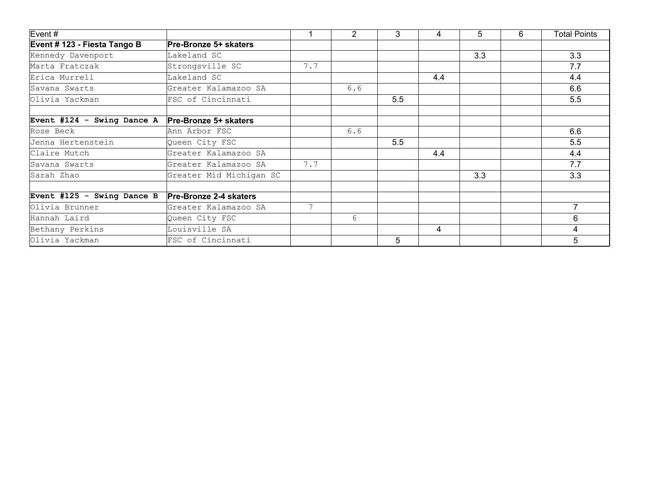| Event #                      |                               |     | $\overline{2}$ | 3   | 4   | 5   | 6 | <b>Total Points</b> |
|------------------------------|-------------------------------|-----|----------------|-----|-----|-----|---|---------------------|
| Event # 123 - Fiesta Tango B | <b>Pre-Bronze 5+ skaters</b>  |     |                |     |     |     |   |                     |
| Kennedy Davenport            | Lakeland SC                   |     |                |     |     | 3.3 |   | 3.3                 |
| Marta Fratczak               | Strongsville SC               | 7.7 |                |     |     |     |   | 7.7                 |
| Erica Murrell                | Lakeland SC                   |     |                |     | 4.4 |     |   | 4.4                 |
| Savana Swarts                | Greater Kalamazoo SA          |     | 6.6            |     |     |     |   | 6.6                 |
| Olivia Yackman               | FSC of Cincinnati             |     |                | 5.5 |     |     |   | 5.5                 |
| Event #124 - Swing Dance A   | <b>Pre-Bronze 5+ skaters</b>  |     |                |     |     |     |   |                     |
| Rose Beck                    | Ann Arbor FSC                 |     | 6.6            |     |     |     |   | 6.6                 |
| Jenna Hertenstein            | Queen City FSC                |     |                | 5.5 |     |     |   | 5.5                 |
| Claire Mutch                 | Greater Kalamazoo SA          |     |                |     | 4.4 |     |   | 4.4                 |
| Savana Swarts                | Greater Kalamazoo SA          | 7.7 |                |     |     |     |   | 7.7                 |
| Sarah Zhao                   | Greater Mid Michigan SC       |     |                |     |     | 3.3 |   | 3.3                 |
| Event #125 - Swing Dance B   | <b>Pre-Bronze 2-4 skaters</b> |     |                |     |     |     |   |                     |
| Olivia Brunner               | Greater Kalamazoo SA          | 7   |                |     |     |     |   | $\overline{7}$      |
| Hannah Laird                 | Queen City FSC                |     | 6              |     |     |     |   | 6                   |
| Bethany Perkins              | Louisville SA                 |     |                |     | 4   |     |   | 4                   |
| Olivia Yackman               | FSC of Cincinnati             |     |                | 5   |     |     |   | 5                   |